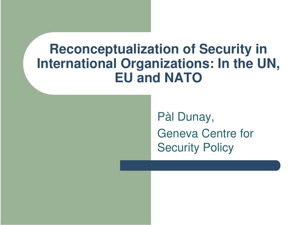#### **Reconceptualization of Security in International Organizations: In the UN, EU and NATO**

Pàl Dunay, Geneva Centre for Security Policy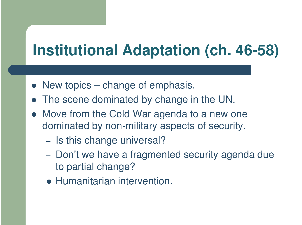# **Institutional Adaptation (ch. 46-58)**

- New topics change of emphasis.
- $\bullet$ The scene dominated by change in the UN.
- $\bullet$  Move from the Cold War agenda to <sup>a</sup> new one dominated by non-military aspects of security.
	- Is this change universal?
	- Don't we have a fragmented security agenda due to partial change?
	- **Humanitarian intervention.**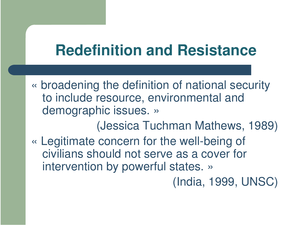## **Redefinition and Resistance**

« broadening the definition of national security to include resource, environmental and demographic issues. »

(Jessica Tuchman Mathews, 1989) « Legitimate concern for the well-being of civilians should not serve as a cover for intervention by powerful states. »

(India, 1999, UNSC)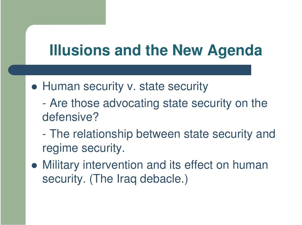## **Illusions and the New Agenda**

- **Human security v. state security** 
	- - Are those advocating state security on the defensive?
	- $\mathcal{L}_{\mathcal{A}}$  The relationship between state security and regime security.
- Military intervention and its effect on human security. (The Iraq debacle.)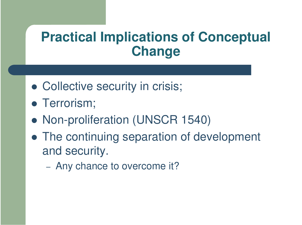#### **Practical Implications of Conceptual Change**

- Collective security in crisis;
- **Terrorism;**
- Non-proliferation (UNSCR 1540)
- The continuing separation of development and security.
	- Any chance to overcome it?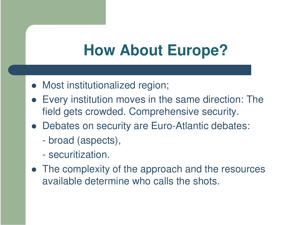## **How About Europe?**

- Most institutionalized region;
- Every institution moves in the same direction: The field gets crowded. Comprehensive security.
- Debates on security are Euro-Atlantic debates:
	- broad (aspects),
	- securitization.
- The complexity of the approach and the resources available determine who calls the shots.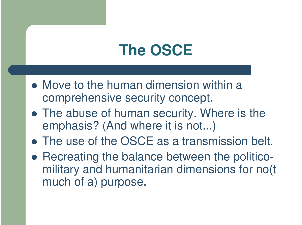# **The OSCE**

- Move to the human dimension within a comprehensive security concept.
- The abuse of human security. Where is the emphasis? (And where it is not...)
- The use of the OSCE as a transmission belt.
- Recreating the balance between the politicomilitary and humanitarian dimensions for no(t much of a) purpose.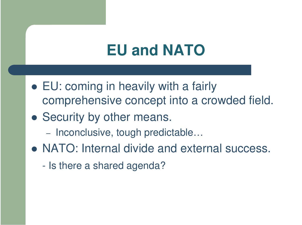### **EU and NATO**

- EU: coming in heavily with <sup>a</sup> fairly comprehensive concept into <sup>a</sup> crowded field.
- Security by other means.
	- Inconclusive, tough predictable…
- NATO: Internal divide and external success.
	- Is there <sup>a</sup> shared agenda?